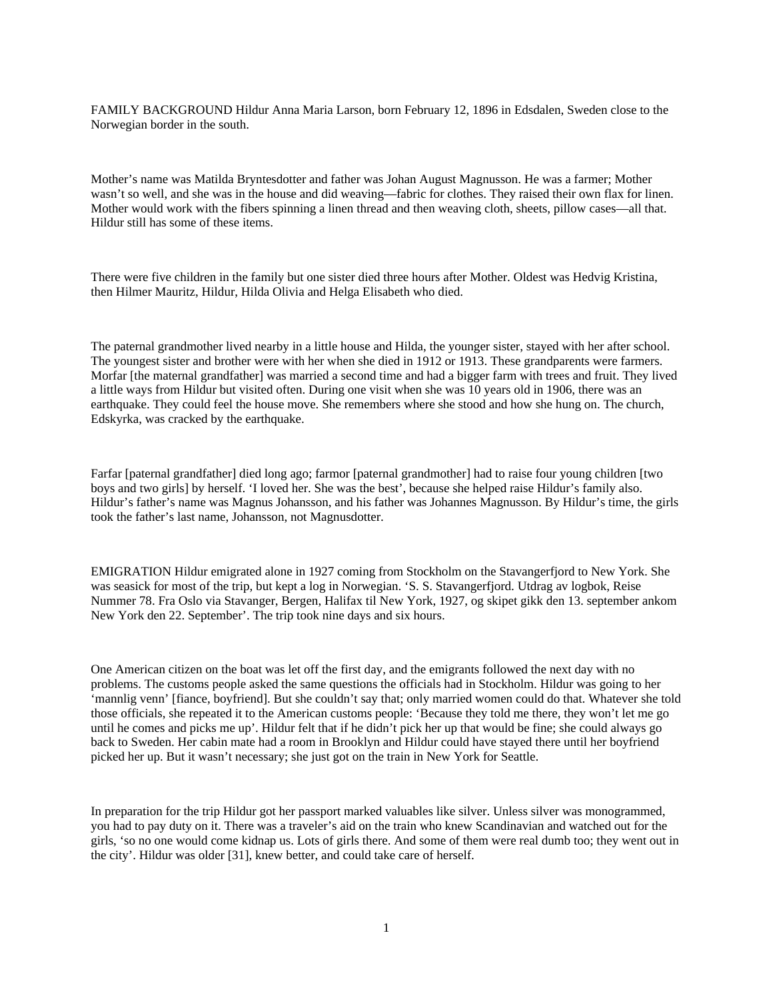FAMILY BACKGROUND Hildur Anna Maria Larson, born February 12, 1896 in Edsdalen, Sweden close to the Norwegian border in the south.

Mother's name was Matilda Bryntesdotter and father was Johan August Magnusson. He was a farmer; Mother wasn't so well, and she was in the house and did weaving—fabric for clothes. They raised their own flax for linen. Mother would work with the fibers spinning a linen thread and then weaving cloth, sheets, pillow cases—all that. Hildur still has some of these items.

There were five children in the family but one sister died three hours after Mother. Oldest was Hedvig Kristina, then Hilmer Mauritz, Hildur, Hilda Olivia and Helga Elisabeth who died.

The paternal grandmother lived nearby in a little house and Hilda, the younger sister, stayed with her after school. The youngest sister and brother were with her when she died in 1912 or 1913. These grandparents were farmers. Morfar [the maternal grandfather] was married a second time and had a bigger farm with trees and fruit. They lived a little ways from Hildur but visited often. During one visit when she was 10 years old in 1906, there was an earthquake. They could feel the house move. She remembers where she stood and how she hung on. The church, Edskyrka, was cracked by the earthquake.

Farfar [paternal grandfather] died long ago; farmor [paternal grandmother] had to raise four young children [two boys and two girls] by herself. 'I loved her. She was the best', because she helped raise Hildur's family also. Hildur's father's name was Magnus Johansson, and his father was Johannes Magnusson. By Hildur's time, the girls took the father's last name, Johansson, not Magnusdotter.

EMIGRATION Hildur emigrated alone in 1927 coming from Stockholm on the Stavangerfjord to New York. She was seasick for most of the trip, but kept a log in Norwegian. 'S. S. Stavangerfjord. Utdrag av logbok, Reise Nummer 78. Fra Oslo via Stavanger, Bergen, Halifax til New York, 1927, og skipet gikk den 13. september ankom New York den 22. September'. The trip took nine days and six hours.

One American citizen on the boat was let off the first day, and the emigrants followed the next day with no problems. The customs people asked the same questions the officials had in Stockholm. Hildur was going to her 'mannlig venn' [fiance, boyfriend]. But she couldn't say that; only married women could do that. Whatever she told those officials, she repeated it to the American customs people: 'Because they told me there, they won't let me go until he comes and picks me up'. Hildur felt that if he didn't pick her up that would be fine; she could always go back to Sweden. Her cabin mate had a room in Brooklyn and Hildur could have stayed there until her boyfriend picked her up. But it wasn't necessary; she just got on the train in New York for Seattle.

In preparation for the trip Hildur got her passport marked valuables like silver. Unless silver was monogrammed, you had to pay duty on it. There was a traveler's aid on the train who knew Scandinavian and watched out for the girls, 'so no one would come kidnap us. Lots of girls there. And some of them were real dumb too; they went out in the city'. Hildur was older [31], knew better, and could take care of herself.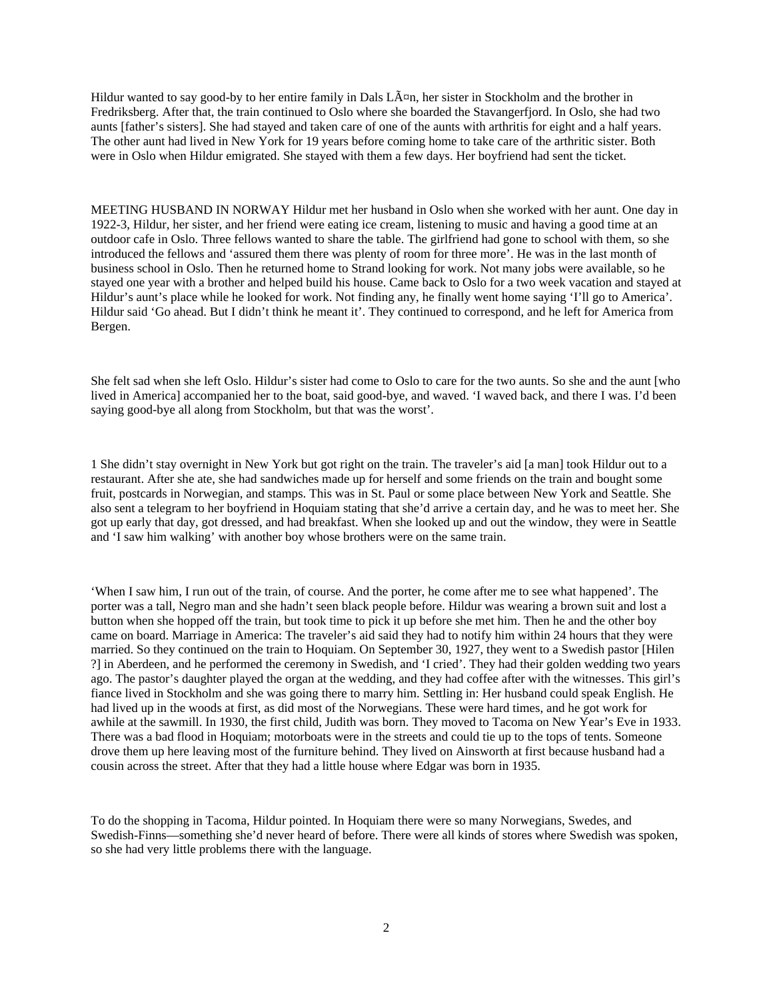Hildur wanted to say good-by to her entire family in Dals  $L\tilde{A}^{\sigma}$ n, her sister in Stockholm and the brother in Fredriksberg. After that, the train continued to Oslo where she boarded the Stavangerfjord. In Oslo, she had two aunts [father's sisters]. She had stayed and taken care of one of the aunts with arthritis for eight and a half years. The other aunt had lived in New York for 19 years before coming home to take care of the arthritic sister. Both were in Oslo when Hildur emigrated. She stayed with them a few days. Her boyfriend had sent the ticket.

MEETING HUSBAND IN NORWAY Hildur met her husband in Oslo when she worked with her aunt. One day in 1922-3, Hildur, her sister, and her friend were eating ice cream, listening to music and having a good time at an outdoor cafe in Oslo. Three fellows wanted to share the table. The girlfriend had gone to school with them, so she introduced the fellows and 'assured them there was plenty of room for three more'. He was in the last month of business school in Oslo. Then he returned home to Strand looking for work. Not many jobs were available, so he stayed one year with a brother and helped build his house. Came back to Oslo for a two week vacation and stayed at Hildur's aunt's place while he looked for work. Not finding any, he finally went home saying 'I'll go to America'. Hildur said 'Go ahead. But I didn't think he meant it'. They continued to correspond, and he left for America from Bergen.

She felt sad when she left Oslo. Hildur's sister had come to Oslo to care for the two aunts. So she and the aunt [who lived in America] accompanied her to the boat, said good-bye, and waved. 'I waved back, and there I was. I'd been saying good-bye all along from Stockholm, but that was the worst'.

1 She didn't stay overnight in New York but got right on the train. The traveler's aid [a man] took Hildur out to a restaurant. After she ate, she had sandwiches made up for herself and some friends on the train and bought some fruit, postcards in Norwegian, and stamps. This was in St. Paul or some place between New York and Seattle. She also sent a telegram to her boyfriend in Hoquiam stating that she'd arrive a certain day, and he was to meet her. She got up early that day, got dressed, and had breakfast. When she looked up and out the window, they were in Seattle and 'I saw him walking' with another boy whose brothers were on the same train.

'When I saw him, I run out of the train, of course. And the porter, he come after me to see what happened'. The porter was a tall, Negro man and she hadn't seen black people before. Hildur was wearing a brown suit and lost a button when she hopped off the train, but took time to pick it up before she met him. Then he and the other boy came on board. Marriage in America: The traveler's aid said they had to notify him within 24 hours that they were married. So they continued on the train to Hoquiam. On September 30, 1927, they went to a Swedish pastor [Hilen ?] in Aberdeen, and he performed the ceremony in Swedish, and 'I cried'. They had their golden wedding two years ago. The pastor's daughter played the organ at the wedding, and they had coffee after with the witnesses. This girl's fiance lived in Stockholm and she was going there to marry him. Settling in: Her husband could speak English. He had lived up in the woods at first, as did most of the Norwegians. These were hard times, and he got work for awhile at the sawmill. In 1930, the first child, Judith was born. They moved to Tacoma on New Year's Eve in 1933. There was a bad flood in Hoquiam; motorboats were in the streets and could tie up to the tops of tents. Someone drove them up here leaving most of the furniture behind. They lived on Ainsworth at first because husband had a cousin across the street. After that they had a little house where Edgar was born in 1935.

To do the shopping in Tacoma, Hildur pointed. In Hoquiam there were so many Norwegians, Swedes, and Swedish-Finns—something she'd never heard of before. There were all kinds of stores where Swedish was spoken, so she had very little problems there with the language.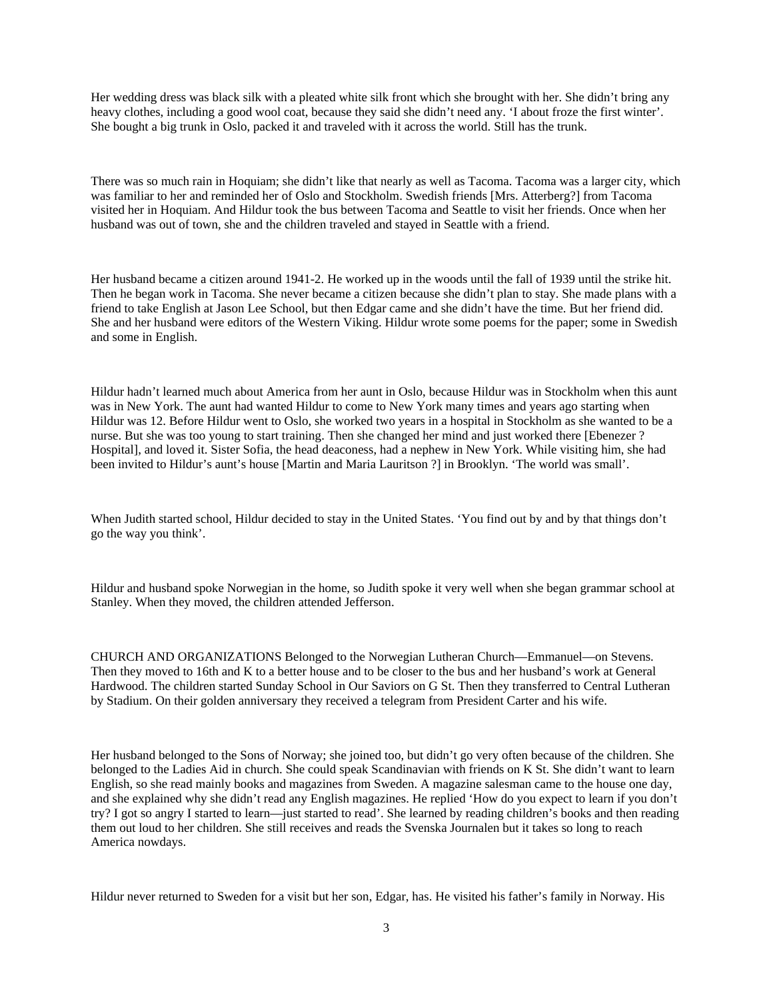Her wedding dress was black silk with a pleated white silk front which she brought with her. She didn't bring any heavy clothes, including a good wool coat, because they said she didn't need any. 'I about froze the first winter'. She bought a big trunk in Oslo, packed it and traveled with it across the world. Still has the trunk.

There was so much rain in Hoquiam; she didn't like that nearly as well as Tacoma. Tacoma was a larger city, which was familiar to her and reminded her of Oslo and Stockholm. Swedish friends [Mrs. Atterberg?] from Tacoma visited her in Hoquiam. And Hildur took the bus between Tacoma and Seattle to visit her friends. Once when her husband was out of town, she and the children traveled and stayed in Seattle with a friend.

Her husband became a citizen around 1941-2. He worked up in the woods until the fall of 1939 until the strike hit. Then he began work in Tacoma. She never became a citizen because she didn't plan to stay. She made plans with a friend to take English at Jason Lee School, but then Edgar came and she didn't have the time. But her friend did. She and her husband were editors of the Western Viking. Hildur wrote some poems for the paper; some in Swedish and some in English.

Hildur hadn't learned much about America from her aunt in Oslo, because Hildur was in Stockholm when this aunt was in New York. The aunt had wanted Hildur to come to New York many times and years ago starting when Hildur was 12. Before Hildur went to Oslo, she worked two years in a hospital in Stockholm as she wanted to be a nurse. But she was too young to start training. Then she changed her mind and just worked there [Ebenezer ? Hospital], and loved it. Sister Sofia, the head deaconess, had a nephew in New York. While visiting him, she had been invited to Hildur's aunt's house [Martin and Maria Lauritson ?] in Brooklyn. 'The world was small'.

When Judith started school, Hildur decided to stay in the United States. 'You find out by and by that things don't go the way you think'.

Hildur and husband spoke Norwegian in the home, so Judith spoke it very well when she began grammar school at Stanley. When they moved, the children attended Jefferson.

CHURCH AND ORGANIZATIONS Belonged to the Norwegian Lutheran Church—Emmanuel—on Stevens. Then they moved to 16th and K to a better house and to be closer to the bus and her husband's work at General Hardwood. The children started Sunday School in Our Saviors on G St. Then they transferred to Central Lutheran by Stadium. On their golden anniversary they received a telegram from President Carter and his wife.

Her husband belonged to the Sons of Norway; she joined too, but didn't go very often because of the children. She belonged to the Ladies Aid in church. She could speak Scandinavian with friends on K St. She didn't want to learn English, so she read mainly books and magazines from Sweden. A magazine salesman came to the house one day, and she explained why she didn't read any English magazines. He replied 'How do you expect to learn if you don't try? I got so angry I started to learn—just started to read'. She learned by reading children's books and then reading them out loud to her children. She still receives and reads the Svenska Journalen but it takes so long to reach America nowdays.

Hildur never returned to Sweden for a visit but her son, Edgar, has. He visited his father's family in Norway. His